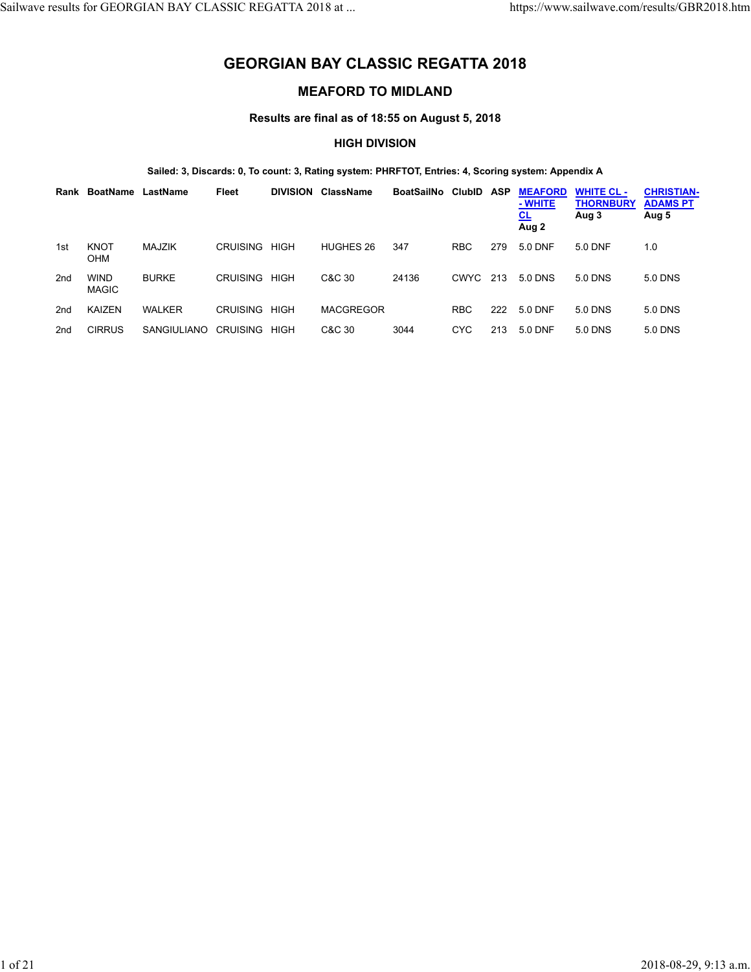# **GEORGIAN BAY CLASSIC REGATTA 2018**

## **MEAFORD TO MIDLAND**

**Results are final as of 18:55 on August 5, 2018**

## **HIGH DIVISION**

### **Sailed: 3, Discards: 0, To count: 3, Rating system: PHRFTOT, Entries: 4, Scoring system: Appendix A**

| Rank            | BoatName                    | LastName           | Fleet           | <b>DIVISION</b> | <b>ClassName</b> | <b>BoatSailNo</b> | <b>ClubID</b> | <b>ASP</b> | <b>MEAFORD</b><br>- WHITE<br><u>CL</u><br>Aug 2 | <b>WHITE CL-</b><br><b>THORNBURY</b><br>Aug 3 | <b>CHRISTIAN-</b><br><b>ADAMS PT</b><br>Aug 5 |
|-----------------|-----------------------------|--------------------|-----------------|-----------------|------------------|-------------------|---------------|------------|-------------------------------------------------|-----------------------------------------------|-----------------------------------------------|
| 1st             | <b>KNOT</b><br><b>OHM</b>   | <b>MAJZIK</b>      | <b>CRUISING</b> | <b>HIGH</b>     | HUGHES 26        | 347               | <b>RBC</b>    | 279        | 5.0 DNF                                         | 5.0 DNF                                       | 1.0                                           |
| 2nd             | <b>WIND</b><br><b>MAGIC</b> | <b>BURKE</b>       | <b>CRUISING</b> | <b>HIGH</b>     | C&C 30           | 24136             | <b>CWYC</b>   | 213        | 5.0 DNS                                         | 5.0 DNS                                       | 5.0 DNS                                       |
| 2 <sub>nd</sub> | <b>KAIZEN</b>               | <b>WALKER</b>      | <b>CRUISING</b> | <b>HIGH</b>     | <b>MACGREGOR</b> |                   | <b>RBC</b>    | 222        | 5.0 DNF                                         | 5.0 DNS                                       | 5.0 DNS                                       |
| 2 <sub>nd</sub> | <b>CIRRUS</b>               | <b>SANGIULIANO</b> | <b>CRUISING</b> | HIGH            | C&C 30           | 3044              | <b>CYC</b>    | 213        | 5.0 DNF                                         | 5.0 DNS                                       | 5.0 DNS                                       |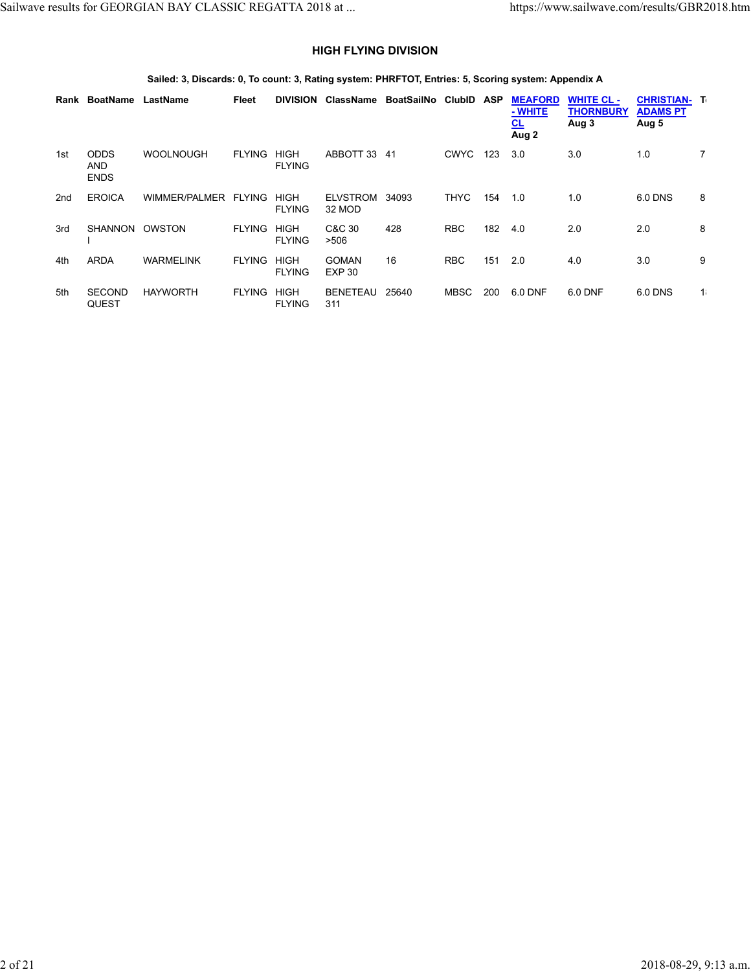## **HIGH FLYING DIVISION**

## **Sailed: 3, Discards: 0, To count: 3, Rating system: PHRFTOT, Entries: 5, Scoring system: Appendix A**

|     | Rank BoatName                            | LastName         | Fleet         | <b>DIVISION</b>              | ClassName                     | BoatSailNo ClubID |             | ASP | <b>MEAFORD</b><br>- WHITE<br><u>CL</u><br>Aug 2 | <b>WHITE CL-</b><br><b>THORNBURY</b><br>Aug 3 | <b>CHRISTIAN- T</b><br><b>ADAMS PT</b><br>Aug 5 |             |
|-----|------------------------------------------|------------------|---------------|------------------------------|-------------------------------|-------------------|-------------|-----|-------------------------------------------------|-----------------------------------------------|-------------------------------------------------|-------------|
| 1st | <b>ODDS</b><br><b>AND</b><br><b>ENDS</b> | <b>WOOLNOUGH</b> | <b>FLYING</b> | <b>HIGH</b><br><b>FLYING</b> | ABBOTT 33                     | -41               | <b>CWYC</b> | 123 | 3.0                                             | 3.0                                           | 1.0                                             | $7^{\circ}$ |
| 2nd | <b>EROICA</b>                            | WIMMER/PALMER    | <b>FLYING</b> | <b>HIGH</b><br><b>FLYING</b> | <b>ELVSTROM</b><br>32 MOD     | 34093             | <b>THYC</b> | 154 | 1.0                                             | 1.0                                           | 6.0 DNS                                         | 8           |
| 3rd | <b>SHANNON</b>                           | OWSTON           | <b>FLYING</b> | <b>HIGH</b><br><b>FLYING</b> | C&C 30<br>>506                | 428               | <b>RBC</b>  | 182 | 4.0                                             | 2.0                                           | 2.0                                             | 8           |
| 4th | <b>ARDA</b>                              | <b>WARMELINK</b> | <b>FLYING</b> | <b>HIGH</b><br><b>FLYING</b> | <b>GOMAN</b><br><b>EXP 30</b> | 16                | <b>RBC</b>  | 151 | 2.0                                             | 4.0                                           | 3.0                                             | 9           |
| 5th | <b>SECOND</b><br><b>QUEST</b>            | <b>HAYWORTH</b>  | <b>FLYING</b> | <b>HIGH</b><br><b>FLYING</b> | <b>BENETEAU</b><br>311        | 25640             | MBSC        | 200 | 6.0 DNF                                         | 6.0 DNF                                       | 6.0 DNS                                         | 1.          |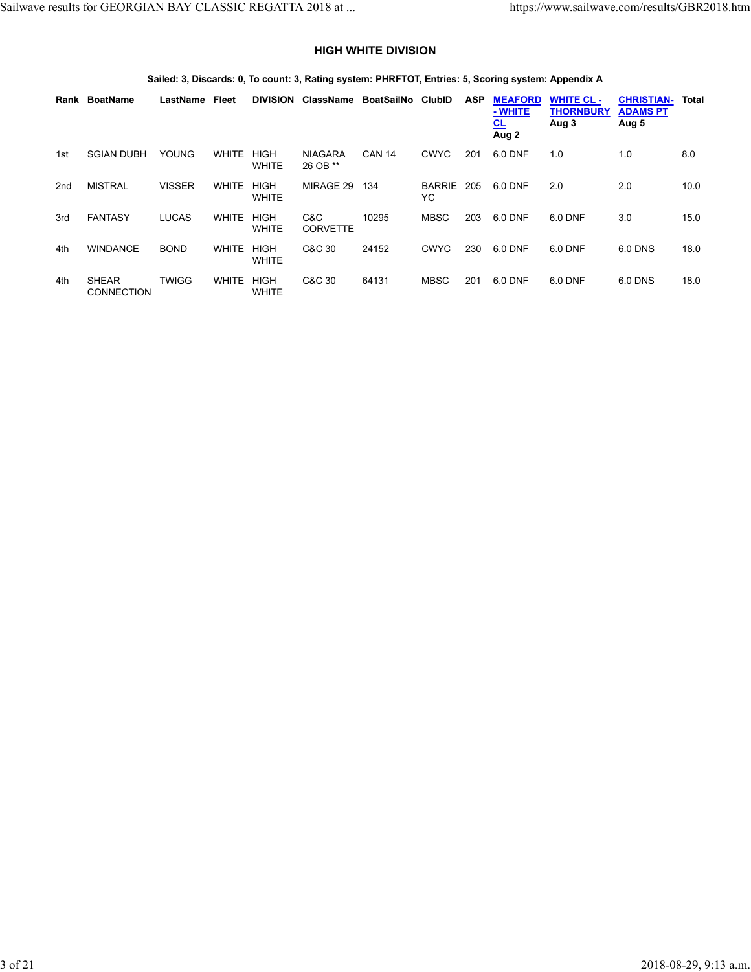## **HIGH WHITE DIVISION**

## **Sailed: 3, Discards: 0, To count: 3, Rating system: PHRFTOT, Entries: 5, Scoring system: Appendix A**

|                 | Rank BoatName                     | LastName      | Fleet        | <b>DIVISION</b>             | <b>ClassName</b>           | BoatSailNo    | <b>ClubID</b>       | <b>ASP</b> | <b>MEAFORD</b><br>- WHITE<br><u>CL</u><br>Aug 2 | <b>WHITE CL-</b><br><b>THORNBURY</b><br>Aug 3 | <b>CHRISTIAN-</b><br><b>ADAMS PT</b><br>Aug 5 | Total |
|-----------------|-----------------------------------|---------------|--------------|-----------------------------|----------------------------|---------------|---------------------|------------|-------------------------------------------------|-----------------------------------------------|-----------------------------------------------|-------|
| 1st             | <b>SGIAN DUBH</b>                 | <b>YOUNG</b>  | <b>WHITE</b> | <b>HIGH</b><br><b>WHITE</b> | <b>NIAGARA</b><br>26 OB ** | <b>CAN 14</b> | <b>CWYC</b>         | 201        | 6.0 DNF                                         | 1.0                                           | 1.0                                           | 8.0   |
| 2 <sub>nd</sub> | <b>MISTRAL</b>                    | <b>VISSER</b> | <b>WHITE</b> | <b>HIGH</b><br><b>WHITE</b> | MIRAGE 29                  | 134           | <b>BARRIE</b><br>YC | 205        | 6.0 DNF                                         | 2.0                                           | 2.0                                           | 10.0  |
| 3rd             | <b>FANTASY</b>                    | <b>LUCAS</b>  | <b>WHITE</b> | <b>HIGH</b><br><b>WHITE</b> | C&C<br><b>CORVETTE</b>     | 10295         | <b>MBSC</b>         | 203        | 6.0 DNF                                         | 6.0 DNF                                       | 3.0                                           | 15.0  |
| 4th             | <b>WINDANCE</b>                   | <b>BOND</b>   | <b>WHITE</b> | <b>HIGH</b><br><b>WHITE</b> | C&C 30                     | 24152         | <b>CWYC</b>         | 230        | 6.0 DNF                                         | 6.0 DNF                                       | 6.0 DNS                                       | 18.0  |
| 4th             | <b>SHEAR</b><br><b>CONNECTION</b> | <b>TWIGG</b>  | <b>WHITE</b> | <b>HIGH</b><br><b>WHITE</b> | C&C 30                     | 64131         | <b>MBSC</b>         | 201        | 6.0 DNF                                         | 6.0 DNF                                       | 6.0 DNS                                       | 18.0  |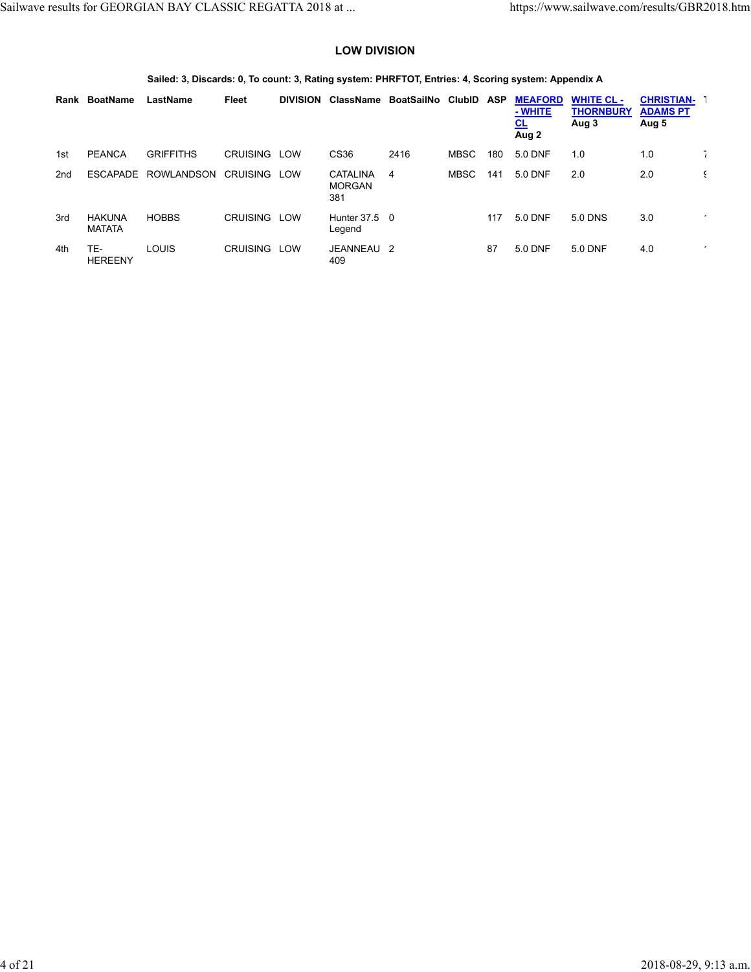## **LOW DIVISION**

## **Sailed: 3, Discards: 0, To count: 3, Rating system: PHRFTOT, Entries: 4, Scoring system: Appendix A**

| Rank            | BoatName                       | LastName          | Fleet           | <b>DIVISION</b> | ClassName                               | BoatSailNo | ClubID      | <b>ASP</b> | <b>MEAFORD</b><br>- WHITE<br><u>CL</u><br>Aug 2 | <b>WHITE CL-</b><br><b>THORNBURY</b><br>Aug 3 | <b>CHRISTIAN-</b><br><b>ADAMS PT</b><br>Aug 5 |   |
|-----------------|--------------------------------|-------------------|-----------------|-----------------|-----------------------------------------|------------|-------------|------------|-------------------------------------------------|-----------------------------------------------|-----------------------------------------------|---|
| 1st             | <b>PEANCA</b>                  | <b>GRIFFITHS</b>  | <b>CRUISING</b> | LOW             | CS36                                    | 2416       | <b>MBSC</b> | 180        | 5.0 DNF                                         | 1.0                                           | 1.0                                           |   |
| 2 <sub>nd</sub> | <b>ESCAPADE</b>                | <b>ROWLANDSON</b> | <b>CRUISING</b> | LOW             | <b>CATALINA</b><br><b>MORGAN</b><br>381 | 4          | <b>MBSC</b> | 141        | 5.0 DNF                                         | 2.0                                           | 2.0                                           |   |
| 3rd             | <b>HAKUNA</b><br><b>MATATA</b> | <b>HOBBS</b>      | <b>CRUISING</b> | <b>LOW</b>      | Hunter 37.5 0<br>Legend                 |            |             | 117        | 5.0 DNF                                         | 5.0 DNS                                       | 3.0                                           |   |
| 4th             | TE-<br><b>HEREENY</b>          | LOUIS             | <b>CRUISING</b> | LOW             | JEANNEAU 2<br>409                       |            |             | 87         | 5.0 DNF                                         | 5.0 DNF                                       | 4.0                                           | ٠ |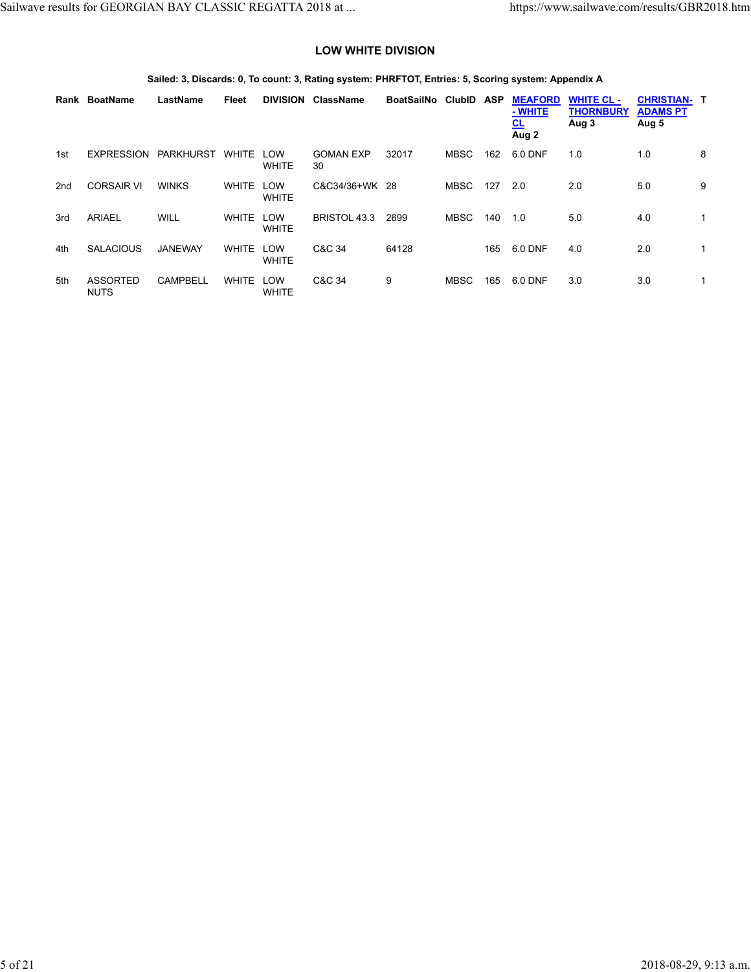## **LOW WHITE DIVISION**

## **Sailed: 3, Discards: 0, To count: 3, Rating system: PHRFTOT, Entries: 5, Scoring system: Appendix A**

|                 | Rank BoatName                  | LastName        | Fleet        | <b>DIVISION</b>     | <b>ClassName</b>       | <b>BoatSailNo</b> | <b>ClubID</b> | <b>ASP</b> | <b>MEAFORD</b><br>- WHITE<br><u>CL</u><br>Aug 2 | <b>WHITE CL-</b><br><b>THORNBURY</b><br>Aug 3 | <b>CHRISTIAN-T</b><br><b>ADAMS PT</b><br>Aug 5 |              |
|-----------------|--------------------------------|-----------------|--------------|---------------------|------------------------|-------------------|---------------|------------|-------------------------------------------------|-----------------------------------------------|------------------------------------------------|--------------|
| 1st             | <b>EXPRESSION</b>              | PARKHURST       | <b>WHITE</b> | LOW<br><b>WHITE</b> | <b>GOMAN EXP</b><br>30 | 32017             | <b>MBSC</b>   | 162        | 6.0 DNF                                         | 1.0                                           | 1.0                                            | 8            |
| 2 <sub>nd</sub> | <b>CORSAIR VI</b>              | <b>WINKS</b>    | <b>WHITE</b> | LOW<br><b>WHITE</b> | C&C34/36+WK 28         |                   | <b>MBSC</b>   | 127        | 2.0                                             | 2.0                                           | 5.0                                            | 9            |
| 3rd             | <b>ARIAEL</b>                  | WILL            | <b>WHITE</b> | LOW<br><b>WHITE</b> | <b>BRISTOL 43.3</b>    | 2699              | <b>MBSC</b>   | 140        | 1.0                                             | 5.0                                           | 4.0                                            | 1            |
| 4th             | <b>SALACIOUS</b>               | <b>JANEWAY</b>  | <b>WHITE</b> | LOW<br><b>WHITE</b> | C&C 34                 | 64128             |               | 165        | 6.0 DNF                                         | 4.0                                           | 2.0                                            | 1            |
| 5th             | <b>ASSORTED</b><br><b>NUTS</b> | <b>CAMPBELL</b> | <b>WHITE</b> | LOW<br><b>WHITE</b> | C&C 34                 | 9                 | <b>MBSC</b>   | 165        | 6.0 DNF                                         | 3.0                                           | 3.0                                            | $\mathbf{1}$ |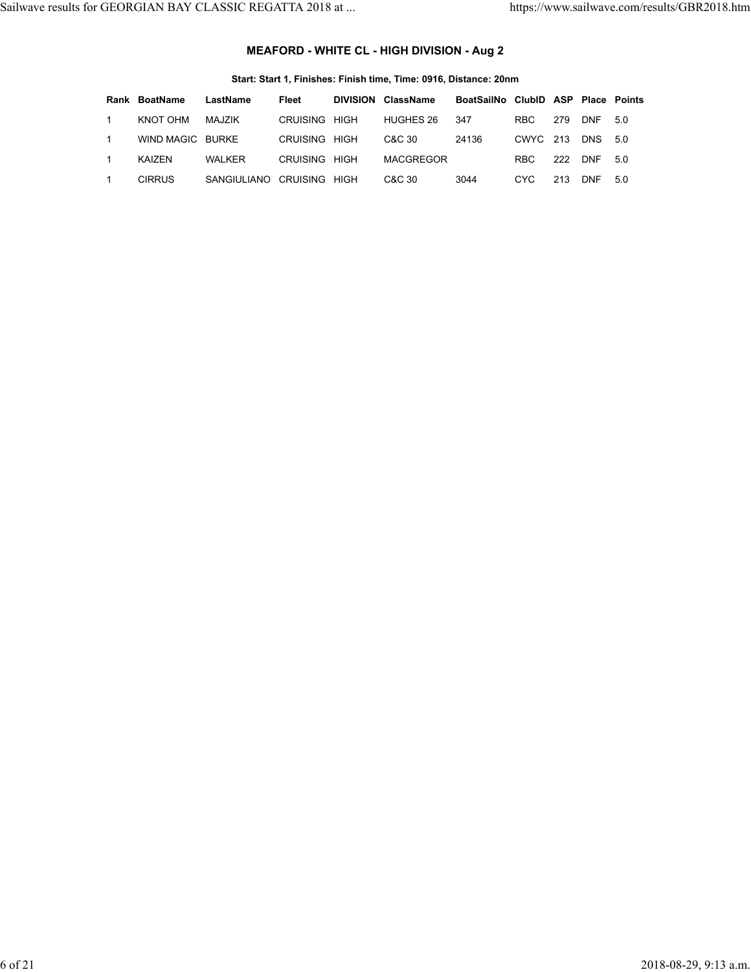# **MEAFORD - WHITE CL - HIGH DIVISION - Aug 2**

**Start: Start 1, Finishes: Finish time, Time: 0916, Distance: 20nm**

|                | Rank BoatName    | LastName                  | Fleet                | <b>DIVISION ClassName</b> | BoatSailNo ClubID ASP Place Points |          |     |            |      |
|----------------|------------------|---------------------------|----------------------|---------------------------|------------------------------------|----------|-----|------------|------|
| $\overline{1}$ | KNOT OHM         | MAJZIK                    | <b>CRUISING HIGH</b> | HUGHES 26                 | 347                                | RBC.     | 279 | <b>DNF</b> | 5.0  |
| $\mathbf{1}$   | WIND MAGIC BURKE |                           | CRUISING HIGH        | C&C 30                    | 24136                              | CWYC 213 |     | DNS        | 50   |
| $\mathbf{1}$   | KAIZEN.          | WAI KFR                   | CRUISING HIGH        | <b>MACGREGOR</b>          |                                    | RBC.     | 222 | <b>DNF</b> | .5 O |
|                | <b>CIRRUS</b>    | SANGIULIANO CRUISING HIGH |                      | C&C 30                    | 3044                               | CYC.     | 213 | <b>DNF</b> | 5.0  |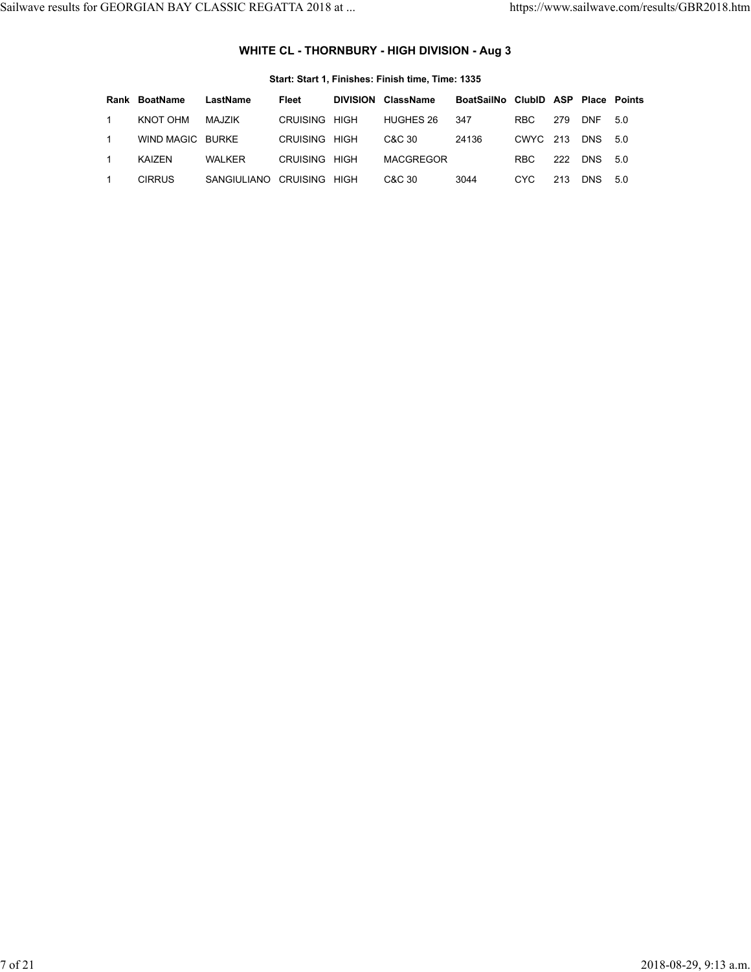# **WHITE CL - THORNBURY - HIGH DIVISION - Aug 3**

|                | Rank BoatName    | LastName                  | Fleet                | <b>DIVISION ClassName</b> | BoatSailNo ClubID ASP Place Points |          |     |             |  |
|----------------|------------------|---------------------------|----------------------|---------------------------|------------------------------------|----------|-----|-------------|--|
| $\overline{1}$ | KNOT OHM         | MAJZIK                    | <b>CRUISING HIGH</b> | HUGHES 26                 | - 347                              | RBC.     |     | 279 DNF 5.0 |  |
| $\overline{1}$ | WIND MAGIC BURKE |                           | <b>CRUISING HIGH</b> | C&C 30                    | 24136                              | CWYC 213 |     | DNS 5.0     |  |
| $\overline{1}$ | KAIZEN           | WALKER                    | CRUISING HIGH        | MACGREGOR                 |                                    | RBC.     | 222 | DNS 5.0     |  |
| $\mathbf{1}$   | <b>CIRRUS</b>    | SANGIULIANO CRUISING HIGH |                      | C&C 30                    | 3044                               | CYC.     | 213 | DNS 5.0     |  |

### **Start: Start 1, Finishes: Finish time, Time: 1335**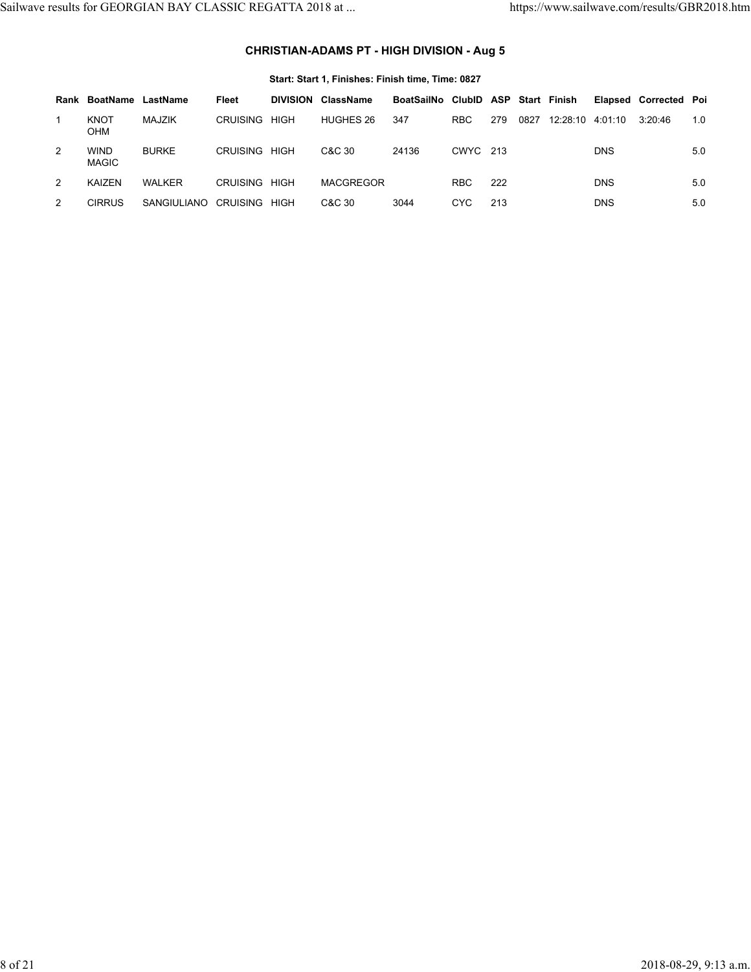# **CHRISTIAN-ADAMS PT - HIGH DIVISION - Aug 5**

|      | Start: Start 1, Finishes: Finish time, Time: 0827 |               |                 |                 |           |                       |            |     |      |              |            |                       |     |
|------|---------------------------------------------------|---------------|-----------------|-----------------|-----------|-----------------------|------------|-----|------|--------------|------------|-----------------------|-----|
| Rank | BoatName                                          | LastName      | Fleet           | <b>DIVISION</b> | ClassName | BoatSailNo ClubID ASP |            |     |      | Start Finish |            | Elapsed Corrected Poi |     |
|      | <b>KNOT</b><br>OHM                                | MAJZIK        | <b>CRUISING</b> | <b>HIGH</b>     | HUGHES 26 | 347                   | <b>RBC</b> | 279 | 0827 | 12:28:10     | 4:01:10    | 3:20:46               | 1.0 |
| 2    | <b>WIND</b><br>MAGIC                              | <b>BURKE</b>  | CRUISING        | <b>HIGH</b>     | C&C 30    | 24136                 | CWYC 213   |     |      |              | <b>DNS</b> |                       | 5.0 |
| 2    | KAIZEN                                            | <b>WALKER</b> | CRUISING        | <b>HIGH</b>     | MACGREGOR |                       | <b>RBC</b> | 222 |      |              | <b>DNS</b> |                       | 5.0 |
| 2    | CIRRUS                                            | SANGIULIANO   | CRUISING        | <b>HIGH</b>     | C&C 30    | 3044                  | <b>CYC</b> | 213 |      |              | <b>DNS</b> |                       | 5.0 |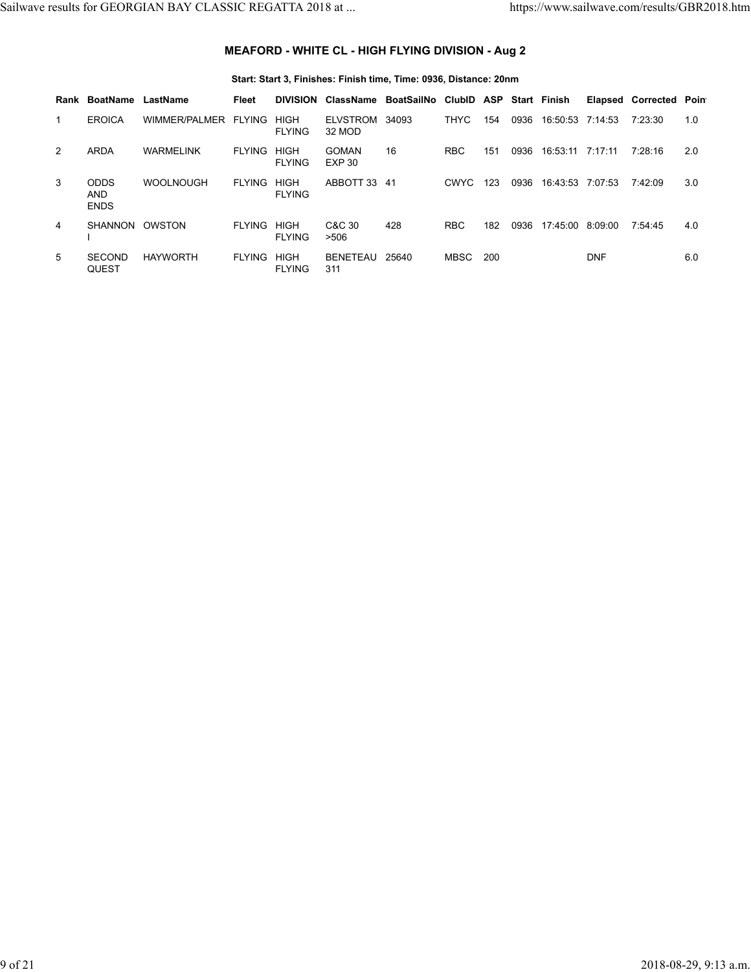# **MEAFORD - WHITE CL - HIGH FLYING DIVISION - Aug 2**

### **Start: Start 3, Finishes: Finish time, Time: 0936, Distance: 20nm**

| Rank | BoatName                                 | LastName             | Fleet         | <b>DIVISION</b>              | <b>ClassName</b>              | BoatSailNo | ClubID ASP  |     |      | Start Finish     |            | Elapsed Corrected Point |     |
|------|------------------------------------------|----------------------|---------------|------------------------------|-------------------------------|------------|-------------|-----|------|------------------|------------|-------------------------|-----|
|      | <b>EROICA</b>                            | WIMMER/PALMER FLYING |               | <b>HIGH</b><br><b>FLYING</b> | ELVSTROM<br>32 MOD            | 34093      | <b>THYC</b> | 154 | 0936 | 16:50:53 7:14:53 |            | 7:23:30                 | 1.0 |
| 2    | <b>ARDA</b>                              | <b>WARMELINK</b>     | <b>FLYING</b> | <b>HIGH</b><br><b>FLYING</b> | <b>GOMAN</b><br><b>EXP 30</b> | 16         | <b>RBC</b>  | 151 | 0936 | 16:53:11         | 7:17:11    | 7:28:16                 | 2.0 |
| 3    | <b>ODDS</b><br><b>AND</b><br><b>ENDS</b> | <b>WOOLNOUGH</b>     | <b>FLYING</b> | <b>HIGH</b><br><b>FLYING</b> | ABBOTT 33 41                  |            | CWYC        | 123 | 0936 | 16:43:53 7:07:53 |            | 7:42:09                 | 3.0 |
| 4    | <b>SHANNON</b>                           | OWSTON               | <b>FLYING</b> | <b>HIGH</b><br><b>FLYING</b> | C&C 30<br>>506                | 428        | <b>RBC</b>  | 182 | 0936 | 17:45:00         | 8:09:00    | 7:54:45                 | 4.0 |
| 5    | <b>SECOND</b><br><b>QUEST</b>            | <b>HAYWORTH</b>      | <b>FLYING</b> | <b>HIGH</b><br><b>FLYING</b> | BENETEAU<br>311               | 25640      | MBSC        | 200 |      |                  | <b>DNF</b> |                         | 6.0 |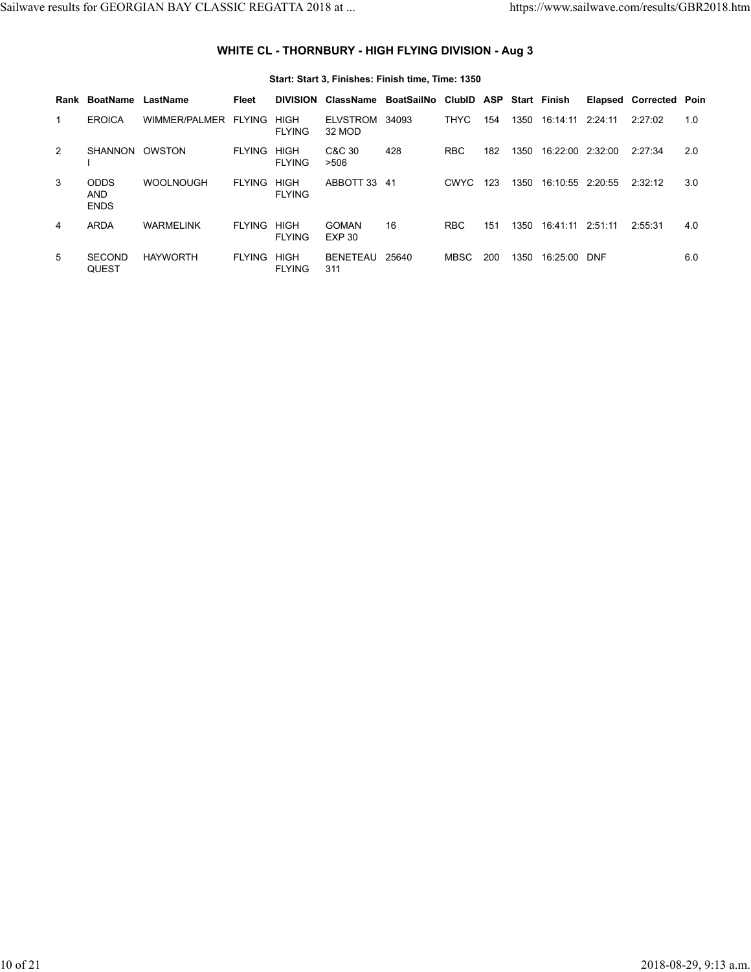### **WHITE CL - THORNBURY - HIGH FLYING DIVISION - Aug 3**

#### **Start: Start 3, Finishes: Finish time, Time: 1350 Rank BoatName LastName Fleet DIVISION ClassName BoatSailNo ClubID ASP Start Finish Elapsed Corrected Point** 1 EROICA WIMMER/PALMER FLYING HIGH FLYING 32 MOD ELVSTROM 34093 THYC 154 1350 16:14:11 2:24:11 2:27:02 1.0 2 SHANNON OWSTON I FLYING HIGH FLYING >506 C&C 30 428 RBC 182 1350 16:22:00 2:32:00 2:27:34 2.0 3 ODDS AND ENDS WOOLNOUGH FLYING HIGH FLYING ABBOTT 33 41 CWYC 123 1350 16:10:55 2:20:55 2:32:12 3.0 4 ARDA WARMELINK FLYING HIGH FLYING EXP 30 GOMAN 16 16 RBC 151 1350 16:41:11 2:51:11 2:55:31 4.0 5 SECOND QUEST FLYING HIGH FLYING 311 BENETEAU 25640 MBSC 200 1350 16:25:00 DNF 6.0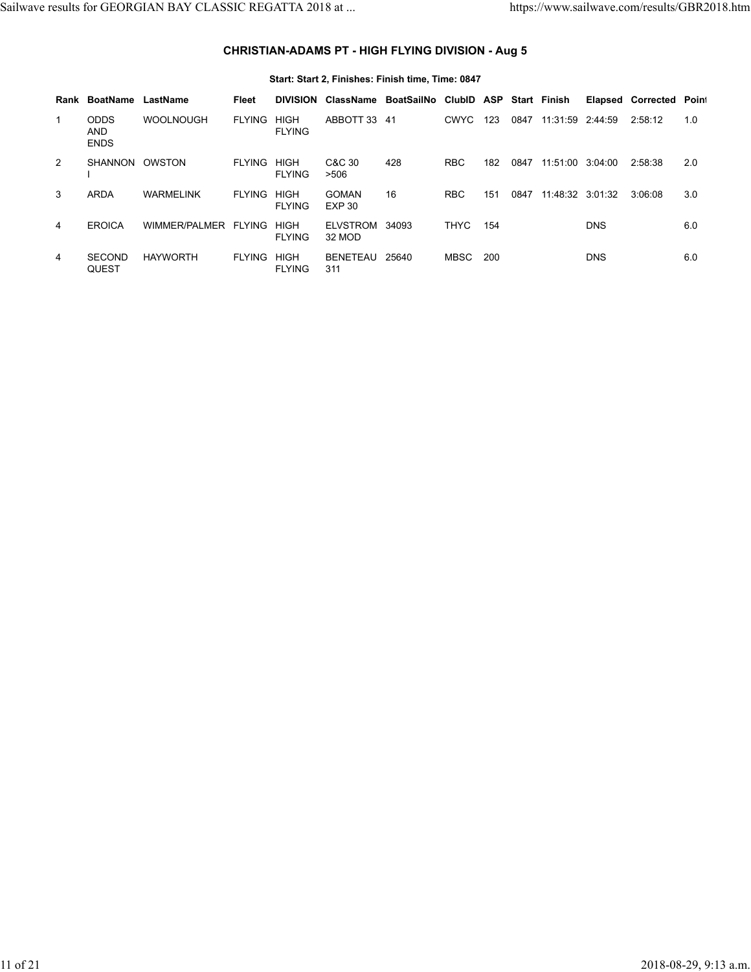## **CHRISTIAN-ADAMS PT - HIGH FLYING DIVISION - Aug 5**

#### **Start: Start 2, Finishes: Finish time, Time: 0847 Rank BoatName LastName Fleet DIVISION ClassName BoatSailNo ClubID ASP Start Finish Elapsed Corrected Point** 1 ODDS AND ENDS WOOLNOUGH FLYING HIGH FLYING ABBOTT 33 41 CWYC 123 0847 11:31:59 2:44:59 2:58:12 1.0 2 SHANNON OWSTON I FLYING HIGH FLYING C&C 30 428 >506 428 RBC 182 0847 11:51:00 3:04:00 2:58:38 2.0 3 ARDA WARMELINK FLYING HIGH FLYING EXP 30 GOMAN 16 RBC 151 0847 11:48:32 3:01:32 3:06:08 3.0 4 EROICA WIMMER/PALMER FLYING HIGH FLYING 32 MOD ELVSTROM THYC 154 DNS 6.0 4 SECOND QUEST FLYING HIGH FLYING 311 BENETEAU MBSC 200 DNS 6.0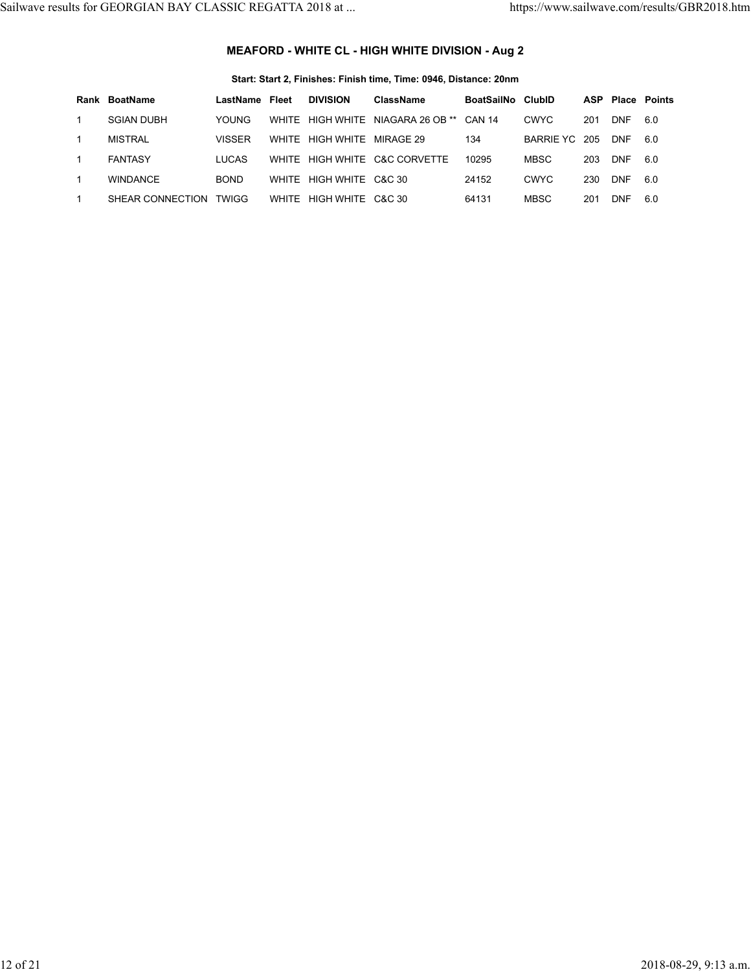# **MEAFORD - WHITE CL - HIGH WHITE DIVISION - Aug 2**

### **Start: Start 2, Finishes: Finish time, Time: 0946, Distance: 20nm**

|   | Rank BoatName     | LastName      | Fleet | <b>DIVISION</b>         | ClassName                     | BoatSailNo ClubID |             |     | <b>ASP Place Points</b> |     |
|---|-------------------|---------------|-------|-------------------------|-------------------------------|-------------------|-------------|-----|-------------------------|-----|
|   | <b>SGIAN DUBH</b> | <b>YOUNG</b>  | WHITE |                         | HIGH WHITE NIAGARA 26 OB **   | <b>CAN 14</b>     | <b>CWYC</b> | 201 | <b>DNF</b>              | 6.0 |
|   | <b>MISTRAL</b>    | <b>VISSER</b> | WHITF | HIGH WHITE              | MIRAGE 29                     | 134               | BARRIE YC   | 205 | <b>DNF</b>              | 6.0 |
| 1 | <b>FANTASY</b>    | <b>LUCAS</b>  |       |                         | WHITE HIGH WHITE C&C CORVETTE | 10295             | <b>MBSC</b> | 203 | <b>DNF</b>              | 6.0 |
|   | <b>WINDANCF</b>   | <b>BOND</b>   |       | WHITE HIGH WHITE C&C 30 |                               | 24152             | <b>CWYC</b> | 230 | <b>DNF</b>              | 6.0 |
|   | SHEAR CONNECTION  | <b>TWIGG</b>  |       | WHITE HIGH WHITE C&C 30 |                               | 64131             | <b>MBSC</b> | 201 | DNF                     | 6.0 |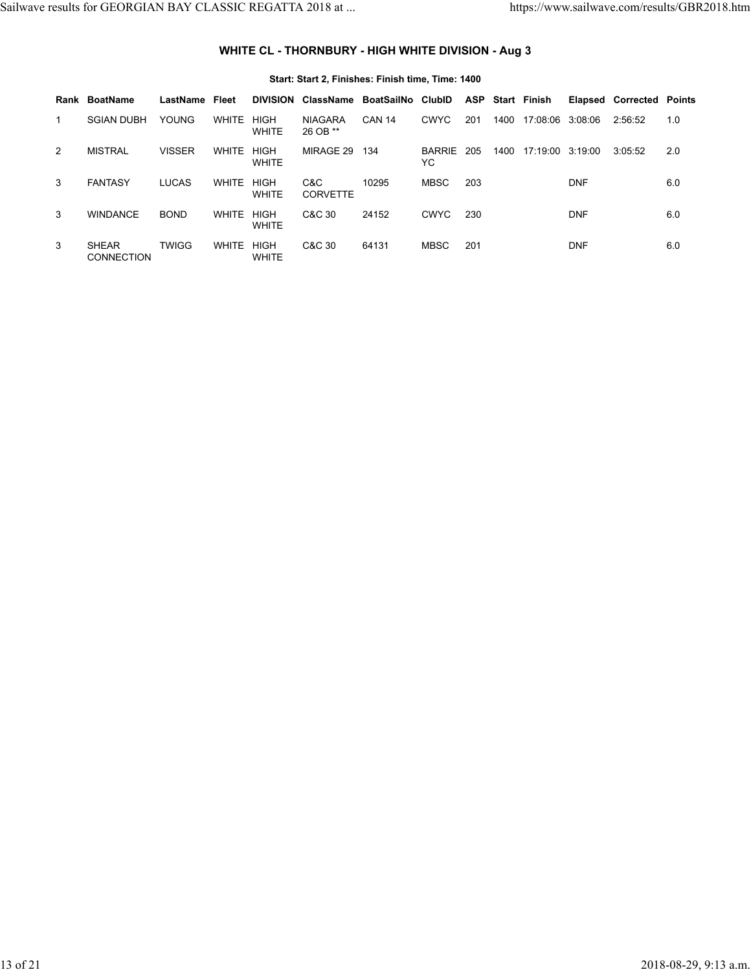# **WHITE CL - THORNBURY - HIGH WHITE DIVISION - Aug 3**

|   |                                   |               |              |                             | Start: Start 2, Finishes: Finish time, Time: 1400 |                   |                     |     |      |                  |            |                         |     |
|---|-----------------------------------|---------------|--------------|-----------------------------|---------------------------------------------------|-------------------|---------------------|-----|------|------------------|------------|-------------------------|-----|
|   | Rank BoatName                     | LastName      | Fleet        | <b>DIVISION</b>             | <b>ClassName</b>                                  | BoatSailNo ClubID |                     | ASP |      | Start Finish     | Elapsed    | <b>Corrected Points</b> |     |
| 1 | <b>SGIAN DUBH</b>                 | <b>YOUNG</b>  | <b>WHITE</b> | <b>HIGH</b><br><b>WHITE</b> | <b>NIAGARA</b><br>26 OB **                        | <b>CAN 14</b>     | <b>CWYC</b>         | 201 | 1400 | 17:08:06 3:08:06 |            | 2:56:52                 | 1.0 |
| 2 | <b>MISTRAL</b>                    | <b>VISSER</b> | <b>WHITE</b> | <b>HIGH</b><br><b>WHITE</b> | MIRAGE 29                                         | 134               | <b>BARRIE</b><br>YC | 205 | 1400 | 17:19:00 3:19:00 |            | 3:05:52                 | 2.0 |
| 3 | <b>FANTASY</b>                    | <b>LUCAS</b>  | <b>WHITE</b> | <b>HIGH</b><br><b>WHITE</b> | C&C<br><b>CORVETTE</b>                            | 10295             | <b>MBSC</b>         | 203 |      |                  | <b>DNF</b> |                         | 6.0 |
| 3 | <b>WINDANCE</b>                   | <b>BOND</b>   | <b>WHITE</b> | <b>HIGH</b><br><b>WHITE</b> | C&C 30                                            | 24152             | <b>CWYC</b>         | 230 |      |                  | <b>DNF</b> |                         | 6.0 |
| 3 | <b>SHEAR</b><br><b>CONNECTION</b> | <b>TWIGG</b>  | <b>WHITE</b> | <b>HIGH</b><br><b>WHITE</b> | C&C 30                                            | 64131             | <b>MBSC</b>         | 201 |      |                  | <b>DNF</b> |                         | 6.0 |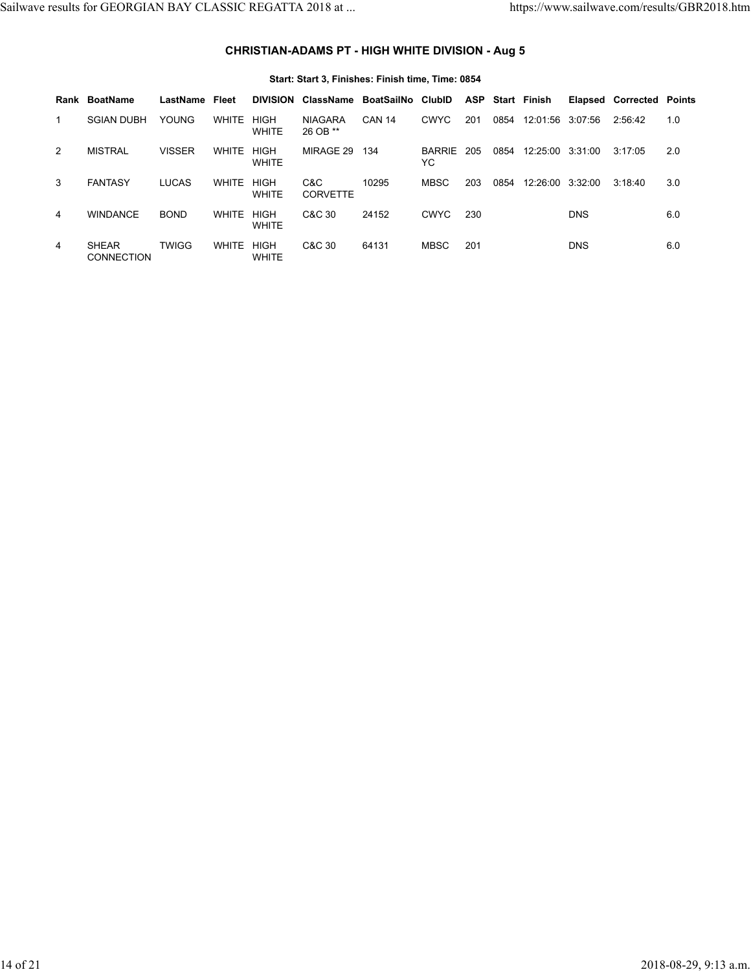# **CHRISTIAN-ADAMS PT - HIGH WHITE DIVISION - Aug 5**

|   | Start: Start 3, Finishes: Finish time, Time: 0854 |               |              |                             |                            |                   |                      |            |      |                  |            |                         |     |  |
|---|---------------------------------------------------|---------------|--------------|-----------------------------|----------------------------|-------------------|----------------------|------------|------|------------------|------------|-------------------------|-----|--|
|   | Rank BoatName                                     | LastName      | Fleet        | <b>DIVISION</b>             | ClassName                  | BoatSailNo ClubID |                      | <b>ASP</b> |      | Start Finish     | Elapsed    | <b>Corrected Points</b> |     |  |
| 1 | <b>SGIAN DUBH</b>                                 | <b>YOUNG</b>  | <b>WHITE</b> | <b>HIGH</b><br><b>WHITE</b> | <b>NIAGARA</b><br>26 OB ** | <b>CAN 14</b>     | <b>CWYC</b>          | 201        | 0854 | 12:01:56 3:07:56 |            | 2:56:42                 | 1.0 |  |
| 2 | <b>MISTRAL</b>                                    | <b>VISSER</b> | <b>WHITE</b> | <b>HIGH</b><br><b>WHITE</b> | MIRAGE 29                  | 134               | <b>BARRIE</b><br>YC. | 205        | 0854 | 12:25:00 3:31:00 |            | 3:17:05                 | 2.0 |  |
| 3 | <b>FANTASY</b>                                    | <b>LUCAS</b>  | <b>WHITE</b> | <b>HIGH</b><br><b>WHITE</b> | C&C<br><b>CORVETTE</b>     | 10295             | <b>MBSC</b>          | 203        | 0854 | 12:26:00         | 3:32:00    | 3:18:40                 | 3.0 |  |
| 4 | <b>WINDANCE</b>                                   | <b>BOND</b>   | <b>WHITE</b> | <b>HIGH</b><br><b>WHITE</b> | C&C 30                     | 24152             | <b>CWYC</b>          | 230        |      |                  | <b>DNS</b> |                         | 6.0 |  |
| 4 | <b>SHEAR</b><br><b>CONNECTION</b>                 | <b>TWIGG</b>  | <b>WHITE</b> | <b>HIGH</b><br><b>WHITE</b> | C&C 30                     | 64131             | <b>MBSC</b>          | 201        |      |                  | <b>DNS</b> |                         | 6.0 |  |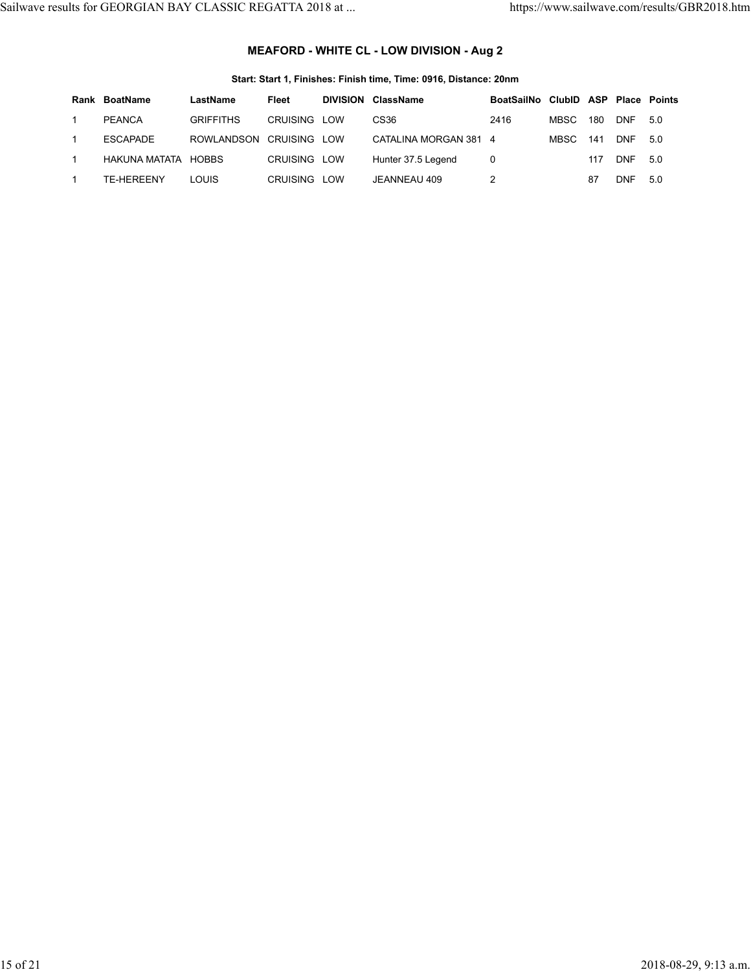# **MEAFORD - WHITE CL - LOW DIVISION - Aug 2**

### **Start: Start 1, Finishes: Finish time, Time: 0916, Distance: 20nm**

| Rank BoatName       | LastName                | Fleet        | <b>DIVISION ClassName</b> | BoatSailNo ClubID ASP Place Points |       |     |            |     |
|---------------------|-------------------------|--------------|---------------------------|------------------------------------|-------|-----|------------|-----|
| PEANCA              | <b>GRIFFITHS</b>        | CRUISING LOW | CS <sub>36</sub>          | 2416                               | MBSC  | 180 | <b>DNF</b> | 5.0 |
| ESCAPADE            | ROWLANDSON CRUISING LOW |              | CATALINA MORGAN 381 4     |                                    | MBSC. | 141 | <b>DNF</b> | 5.0 |
| HAKUNA MATATA HOBBS |                         | CRUISING LOW | Hunter 37.5 Legend        | 0                                  |       | 117 | <b>DNF</b> | 5.0 |
| TF-HFRFFNY          | <b>LOUIS</b>            | CRUISING LOW | JEANNEAU 409              |                                    |       | 87  | <b>DNF</b> | 5.0 |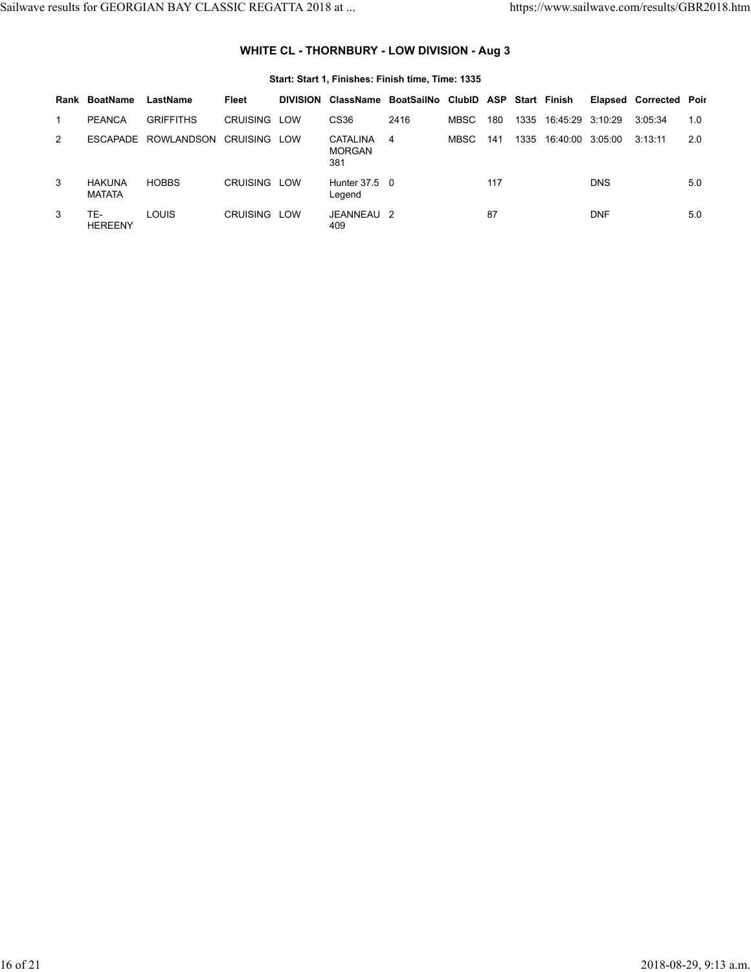# **WHITE CL - THORNBURY - LOW DIVISION - Aug 3**

|               | Rank BoatName                  | LastName         | Fleet               | DIVISION ClassName BoatSailNo ClubID ASP Start Finish |      |       |     |                       |            | <b>Elapsed Corrected Poir</b> |     |
|---------------|--------------------------------|------------------|---------------------|-------------------------------------------------------|------|-------|-----|-----------------------|------------|-------------------------------|-----|
|               | <b>PEANCA</b>                  | <b>GRIFFITHS</b> | CRUISING LOW        | CS36                                                  | 2416 | MBSC  | 180 | 1335 16:45:29 3:10:29 |            | 3:05:34                       | 1.0 |
| $\mathcal{P}$ | <b>FSCAPADE</b>                | ROWLANDSON       | <b>CRUISING LOW</b> | CATALINA<br><b>MORGAN</b><br>381                      | 4    | MBSC. | 141 | 1335 16:40:00 3:05:00 |            | 3:13:11                       | 2.0 |
| 3             | <b>HAKUNA</b><br><b>MATATA</b> | <b>HOBBS</b>     | CRUISING LOW        | Hunter 37.5 0<br>Legend                               |      |       | 117 |                       | <b>DNS</b> |                               | 5.0 |
| 3             | TE-<br><b>HEREENY</b>          | <b>LOUIS</b>     | CRUISING LOW        | JEANNEAU 2<br>409                                     |      |       | 87  |                       | <b>DNF</b> |                               | 5.0 |

### **Start: Start 1, Finishes: Finish time, Time: 1335**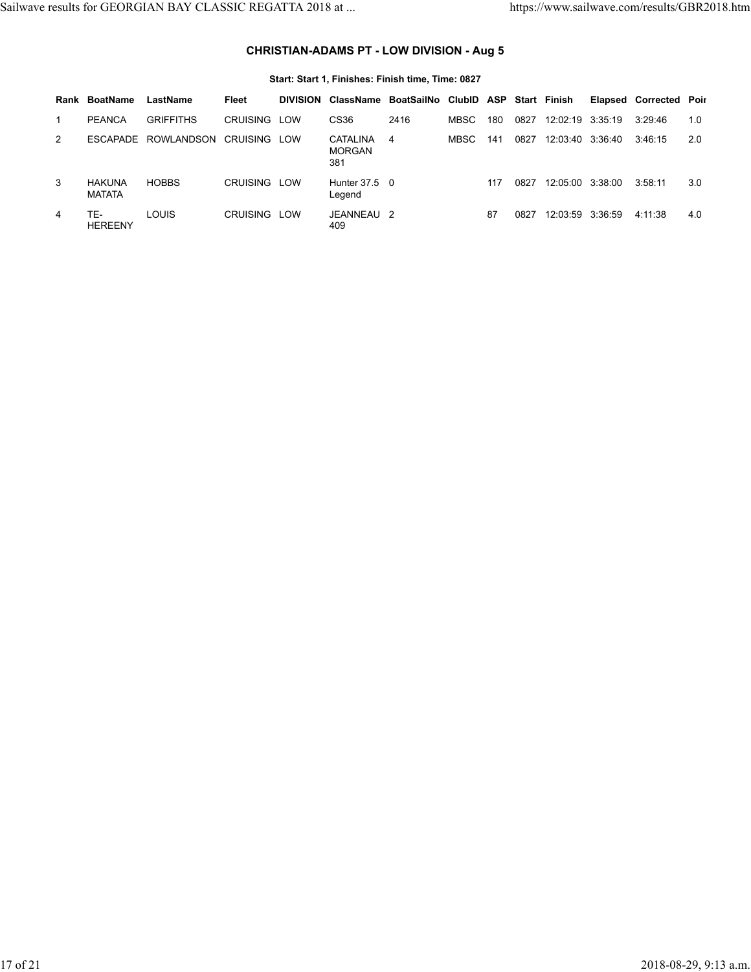# **CHRISTIAN-ADAMS PT - LOW DIVISION - Aug 5**

|   | Rank BoatName                  | LastName         | Fleet           | <b>DIVISION</b> |                                         | ClassName BoatSailNo ClubID ASP Start Finish |             |     |      |                  |  | <b>Elapsed Corrected Poir</b> |     |
|---|--------------------------------|------------------|-----------------|-----------------|-----------------------------------------|----------------------------------------------|-------------|-----|------|------------------|--|-------------------------------|-----|
|   | <b>PEANCA</b>                  | <b>GRIFFITHS</b> | CRUISING        | LOW             | CS36                                    | 2416                                         | <b>MBSC</b> | 180 | 0827 | 12:02:19 3:35:19 |  | 3:29:46                       | 1.0 |
| 2 | <b>FSCAPADE</b>                | ROWLANDSON       | CRUISING        | LOW             | <b>CATALINA</b><br><b>MORGAN</b><br>381 | 4                                            | <b>MBSC</b> | 141 | 0827 | 12:03:40 3:36:40 |  | 3:46:15                       | 2.0 |
| 3 | <b>HAKUNA</b><br><b>MATATA</b> | <b>HOBBS</b>     | <b>CRUISING</b> | LOW             | Hunter 37.5 0<br>Legend                 |                                              |             | 117 | 0827 | 12:05:00 3:38:00 |  | 3:58:11                       | 3.0 |
| 4 | TE-<br><b>HEREENY</b>          | <b>LOUIS</b>     | CRUISING LOW    |                 | JEANNEAU 2<br>409                       |                                              |             | 87  | 0827 | 12:03:59 3:36:59 |  | 4:11:38                       | 4.0 |

### **Start: Start 1, Finishes: Finish time, Time: 0827**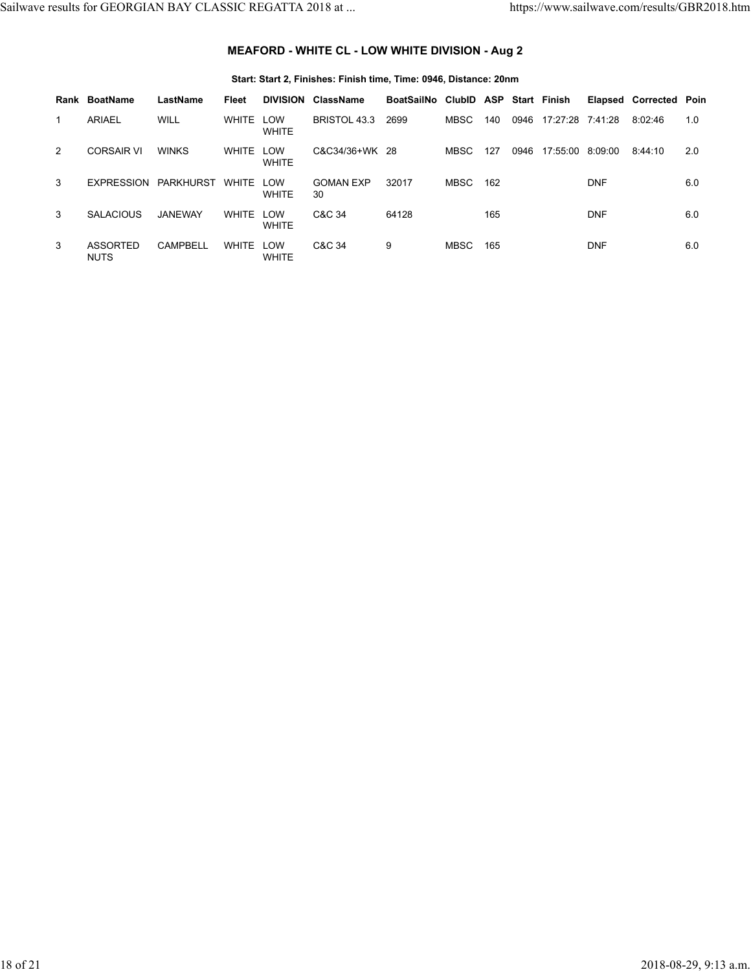# **MEAFORD - WHITE CL - LOW WHITE DIVISION - Aug 2**

### **Start: Start 2, Finishes: Finish time, Time: 0946, Distance: 20nm**

|   | Rank BoatName                  | LastName        | Fleet        | <b>DIVISION</b>            | ClassName              | BoatSailNo ClubID ASP Start Finish |      |     |      |                  |            | <b>Elapsed Corrected Poin</b> |     |
|---|--------------------------------|-----------------|--------------|----------------------------|------------------------|------------------------------------|------|-----|------|------------------|------------|-------------------------------|-----|
| 1 | <b>ARIAEL</b>                  | <b>WILL</b>     | <b>WHITE</b> | LOW<br><b>WHITE</b>        | BRISTOL 43.3           | 2699                               | MBSC | 140 | 0946 | 17:27:28 7:41:28 |            | 8:02:46                       | 1.0 |
| 2 | <b>CORSAIR VI</b>              | <b>WINKS</b>    | <b>WHITE</b> | LOW<br><b>WHITE</b>        | C&C34/36+WK 28         |                                    | MBSC | 127 | 0946 | 17:55:00 8:09:00 |            | 8:44:10                       | 2.0 |
| 3 | <b>EXPRESSION</b>              | PARKHURST       | <b>WHITE</b> | ∟OW<br><b>WHITE</b>        | <b>GOMAN EXP</b><br>30 | 32017                              | MBSC | 162 |      |                  | <b>DNF</b> |                               | 6.0 |
| 3 | <b>SALACIOUS</b>               | JANEWAY         | WHITE        | <b>LOW</b><br><b>WHITE</b> | C&C 34                 | 64128                              |      | 165 |      |                  | <b>DNF</b> |                               | 6.0 |
| 3 | <b>ASSORTED</b><br><b>NUTS</b> | <b>CAMPBELL</b> | <b>WHITE</b> | <b>LOW</b><br><b>WHITE</b> | C&C 34                 | 9                                  | MBSC | 165 |      |                  | <b>DNF</b> |                               | 6.0 |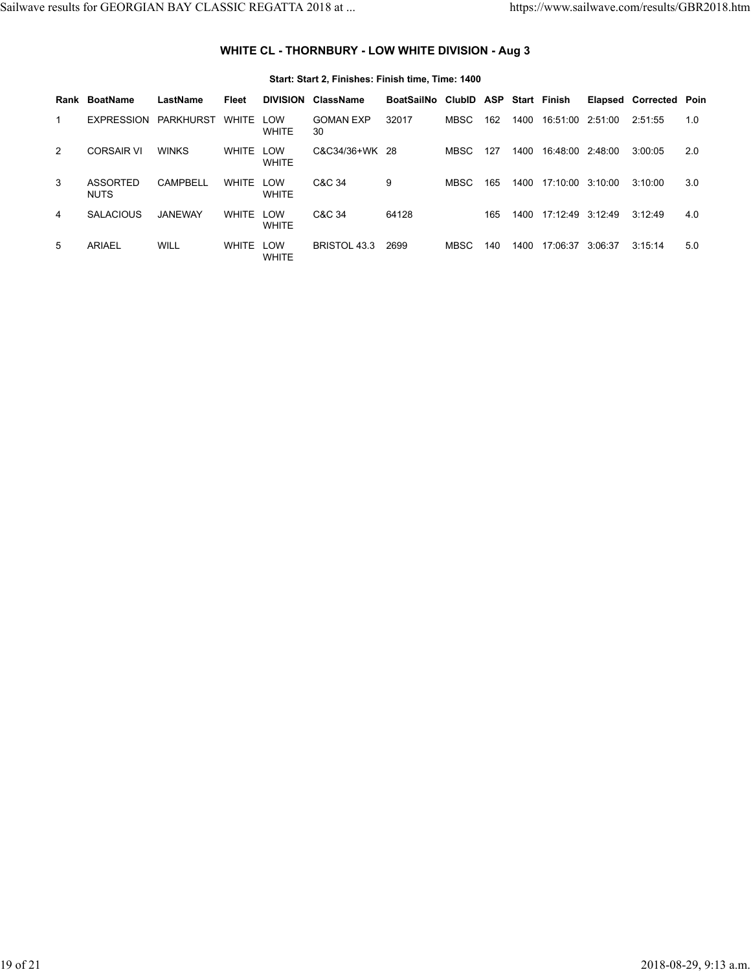# **WHITE CL - THORNBURY - LOW WHITE DIVISION - Aug 3**

|                | Rank BoatName           | LastName         | Fleet        | <b>DIVISION</b>     | ClassName              | BoatSailNo ClubID ASP Start Finish |       |     |      |                  |         | <b>Elapsed Corrected Poin</b> |     |
|----------------|-------------------------|------------------|--------------|---------------------|------------------------|------------------------------------|-------|-----|------|------------------|---------|-------------------------------|-----|
| 1              | <b>EXPRESSION</b>       | <b>PARKHURST</b> | <b>WHITE</b> | LOW<br><b>WHITE</b> | <b>GOMAN EXP</b><br>30 | 32017                              | MBSC  | 162 | 1400 | 16:51:00 2:51:00 |         | 2:51:55                       | 1.0 |
| 2              | <b>CORSAIR VI</b>       | <b>WINKS</b>     | <b>WHITE</b> | LOW<br><b>WHITE</b> | C&C34/36+WK 28         |                                    | MBSC  | 127 | 1400 | 16:48:00 2:48:00 |         | 3:00:05                       | 2.0 |
| 3              | ASSORTED<br><b>NUTS</b> | CAMPBELL         | <b>WHITE</b> | LOW<br><b>WHITE</b> | C&C 34                 | 9                                  | MBSC. | 165 | 1400 | 17:10:00 3:10:00 |         | 3:10:00                       | 3.0 |
| $\overline{4}$ | <b>SALACIOUS</b>        | <b>JANEWAY</b>   | <b>WHITE</b> | LOW<br><b>WHITE</b> | C&C 34                 | 64128                              |       | 165 | 1400 | 17:12:49 3:12:49 |         | 3:12:49                       | 4.0 |
| 5              | ARIAEL                  | WILL             | WHITE LOW    | <b>WHITE</b>        | <b>BRISTOL 43.3</b>    | 2699                               | MBSC  | 140 | 1400 | 17:06:37         | 3:06:37 | 3:15:14                       | 5.0 |

### **Start: Start 2, Finishes: Finish time, Time: 1400**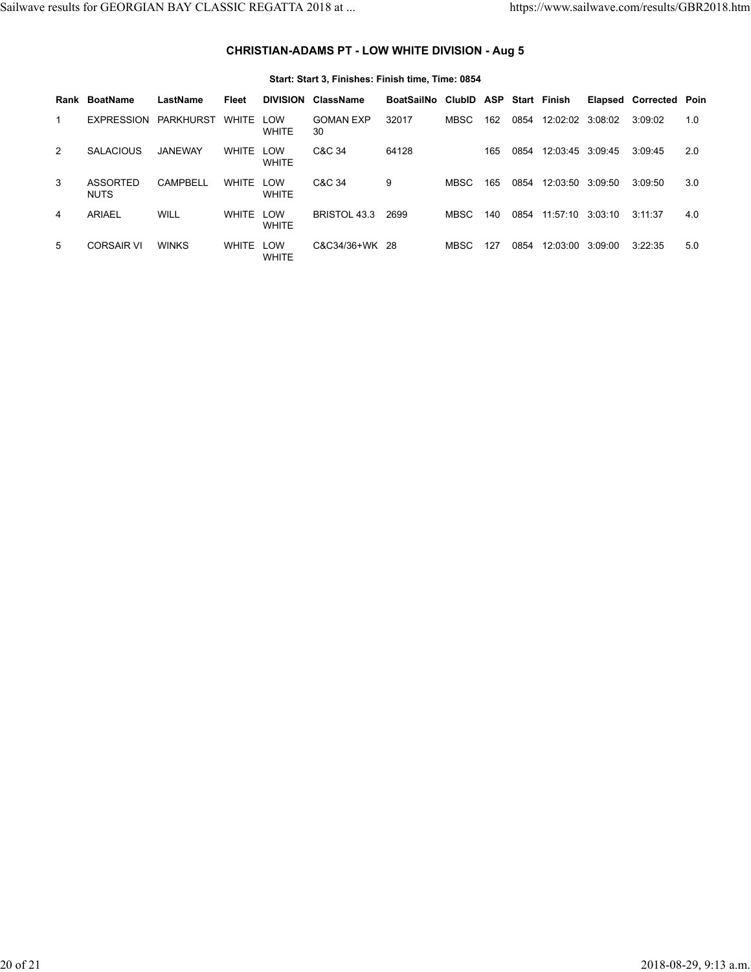# **CHRISTIAN-ADAMS PT - LOW WHITE DIVISION - Aug 5**

|   | Rank BoatName           | LastName        | Fleet        | <b>DIVISION</b>     | ClassName              | BoatSailNo ClubID ASP Start Finish |       |     |      |                  |         | <b>Elapsed Corrected Poin</b> |     |
|---|-------------------------|-----------------|--------------|---------------------|------------------------|------------------------------------|-------|-----|------|------------------|---------|-------------------------------|-----|
| 1 | EXPRESSION PARKHURST    |                 | WHITE LOW    | <b>WHITE</b>        | <b>GOMAN EXP</b><br>30 | 32017                              | MBSC  | 162 | 0854 | 12:02:02 3:08:02 |         | 3:09:02                       | 1.0 |
| 2 | <b>SALACIOUS</b>        | <b>JANEWAY</b>  | <b>WHITE</b> | LOW<br><b>WHITE</b> | C&C 34                 | 64128                              |       | 165 | 0854 | 12:03:45 3:09:45 |         | 3:09:45                       | 2.0 |
| 3 | ASSORTED<br><b>NUTS</b> | <b>CAMPBELL</b> | WHITE        | LOW<br><b>WHITE</b> | C&C 34                 | 9                                  | MBSC. | 165 | 0854 | 12:03:50 3:09:50 |         | 3:09:50                       | 3.0 |
| 4 | <b>ARIAEL</b>           | <b>WILL</b>     | WHITE        | LOW<br><b>WHITE</b> | BRISTOL 43.3           | 2699                               | MBSC  | 140 | 0854 | 11:57:10 3:03:10 |         | 3:11:37                       | 4.0 |
| 5 | <b>CORSAIR VI</b>       | <b>WINKS</b>    | WHITE LOW    | <b>WHITE</b>        | C&C34/36+WK 28         |                                    | MBSC  | 127 | 0854 | 12:03:00         | 3:09:00 | 3:22:35                       | 5.0 |

### **Start: Start 3, Finishes: Finish time, Time: 0854**